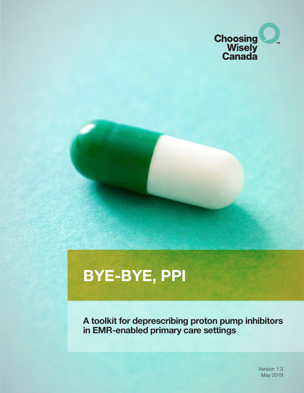

# **BYE-BYE, PPI**

**A toolkit for deprescribing proton pump inhibitors in EMR-enabled primary care settings**

> Version 1.3 May 2019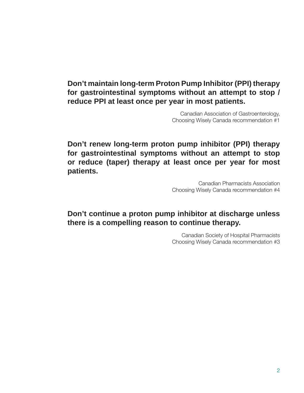### **Don't maintain long-term Proton Pump Inhibitor (PPI) therapy for gastrointestinal symptoms without an attempt to stop / reduce PPI at least once per year in most patients.**

Canadian Association of Gastroenterology, Choosing Wisely Canada recommendation #1

**Don't renew long-term proton pump inhibitor (PPI) therapy for gastrointestinal symptoms without an attempt to stop or reduce (taper) therapy at least once per year for most patients.**

> Canadian Pharmacists Association Choosing Wisely Canada recommendation #4

### **Don't continue a proton pump inhibitor at discharge unless there is a compelling reason to continue therapy.**

Canadian Society of Hospital Pharmacists Choosing Wisely Canada recommendation #3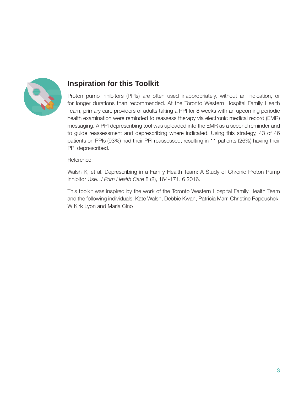

### **Inspiration for this Toolkit**

Proton pump inhibitors (PPIs) are often used inappropriately, without an indication, or for longer durations than recommended. At the Toronto Western Hospital Family Health Team, primary care providers of adults taking a PPI for 8 weeks with an upcoming periodic health examination were reminded to reassess therapy via electronic medical record (EMR) messaging. A PPI deprescribing tool was uploaded into the EMR as a second reminder and to guide reassessment and deprescribing where indicated. Using this strategy, 43 of 46 patients on PPIs (93%) had their PPI reassessed, resulting in 11 patients (26%) having their PPI deprescribed.

#### Reference:

Walsh K, et al. Deprescribing in a Family Health Team: A Study of Chronic Proton Pump Inhibitor Use. *J Prim Health Care* 8 (2), 164-171. 6 2016.

This toolkit was inspired by the work of the Toronto Western Hospital Family Health Team and the following individuals: Kate Walsh, Debbie Kwan, Patricia Marr, Christine Papoushek, W Kirk Lyon and Maria Cino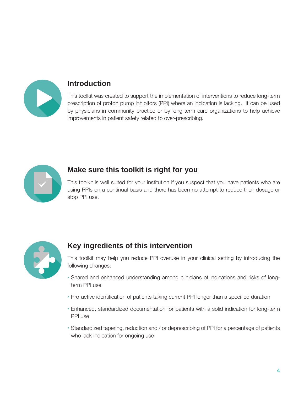

### **Introduction**

This toolkit was created to support the implementation of interventions to reduce long-term prescription of proton pump inhibitors (PPI) where an indication is lacking. It can be used by physicians in community practice or by long-term care organizations to help achieve improvements in patient safety related to over-prescribing.



### **Make sure this toolkit is right for you**

This toolkit is well suited for your institution if you suspect that you have patients who are using PPIs on a continual basis and there has been no attempt to reduce their dosage or stop PPI use.



## **Key ingredients of this intervention**

This toolkit may help you reduce PPI overuse in your clinical setting by introducing the following changes:

- Shared and enhanced understanding among clinicians of indications and risks of longterm PPI use
- Pro-active identification of patients taking current PPI longer than a specified duration
- Enhanced, standardized documentation for patients with a solid indication for long-term PPI use
- Standardized tapering, reduction and / or deprescribing of PPI for a percentage of patients who lack indication for ongoing use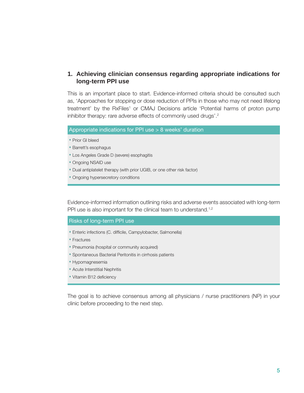#### **1. Achieving clinician consensus regarding appropriate indications for long-term PPI use**

This is an important place to start. Evidence-informed criteria should be consulted such as, 'Approaches for stopping or dose reduction of PPIs in those who may not need lifelong treatment' by the RxFiles<sup>1</sup> or CMAJ Decisions article 'Potential harms of proton pump inhibitor therapy: rare adverse effects of commonly used drugs'.<sup>2</sup>

#### Appropriate indications for PPI use > 8 weeks' duration

- Prior GI bleed
- Barrett's esophagus
- Los Angeles Grade D (severe) esophagitis
- Ongoing NSAID use
- Dual antiplatelet therapy (with prior UGIB, or one other risk factor)
- Ongoing hypersecretory conditions

Evidence-informed information outlining risks and adverse events associated with long-term PPI use is also important for the clinical team to understand.<sup>1,2</sup>

#### Risks of long-term PPI use

- Enteric infections (C. difficile, Campylobacter, Salmonella)
- Fractures
- Pneumonia (hospital or community acquired)
- Spontaneous Bacterial Peritonitis in cirrhosis patients
- Hypomagnesemia
- Acute Interstitial Nephritis
- Vitamin B12 deficiency

The goal is to achieve consensus among all physicians / nurse practitioners (NP) in your clinic before proceeding to the next step.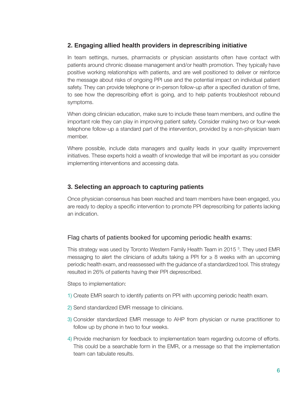#### **2. Engaging allied health providers in deprescribing initiative**

In team settings, nurses, pharmacists or physician assistants often have contact with patients around chronic disease management and/or health promotion. They typically have positive working relationships with patients, and are well positioned to deliver or reinforce the message about risks of ongoing PPI use and the potential impact on individual patient safety. They can provide telephone or in-person follow-up after a specified duration of time, to see how the deprescribing effort is going, and to help patients troubleshoot rebound symptoms.

When doing clinician education, make sure to include these team members, and outline the important role they can play in improving patient safety. Consider making two or four-week telephone follow-up a standard part of the intervention, provided by a non-physician team member.

Where possible, include data managers and quality leads in your quality improvement initiatives. These experts hold a wealth of knowledge that will be important as you consider implementing interventions and accessing data.

#### **3. Selecting an approach to capturing patients**

Once physician consensus has been reached and team members have been engaged, you are ready to deploy a specific intervention to promote PPI deprescribing for patients lacking an indication.

#### Flag charts of patients booked for upcoming periodic health exams:

This strategy was used by Toronto Western Family Health Team in 2015<sup>3</sup>. They used EMR messaging to alert the clinicians of adults taking a PPI for  $\geq 8$  weeks with an upcoming periodic health exam, and reassessed with the guidance of a standardized tool. This strategy resulted in 26% of patients having their PPI deprescribed.

Steps to implementation:

- 1) Create EMR search to identify patients on PPI with upcoming periodic health exam.
- 2) Send standardized EMR message to clinicians.
- 3) Consider standardized EMR message to AHP from physician or nurse practitioner to follow up by phone in two to four weeks.
- 4) Provide mechanism for feedback to implementation team regarding outcome of efforts. This could be a searchable form in the EMR, or a message so that the implementation team can tabulate results.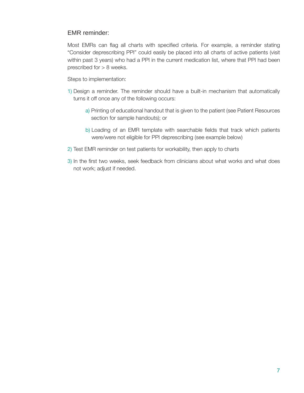#### EMR reminder:

Most EMRs can flag all charts with specified criteria. For example, a reminder stating "Consider deprescribing PPI" could easily be placed into all charts of active patients (visit within past 3 years) who had a PPI in the current medication list, where that PPI had been prescribed for > 8 weeks.

Steps to implementation:

- 1) Design a reminder. The reminder should have a built-in mechanism that automatically turns it off once any of the following occurs:
	- a) Printing of educational handout that is given to the patient (see Patient Resources section for sample handouts); or
	- b) Loading of an EMR template with searchable fields that track which patients were/were not eligible for PPI deprescribing (see example below)
- 2) Test EMR reminder on test patients for workability, then apply to charts
- 3) In the first two weeks, seek feedback from clinicians about what works and what does not work; adjust if needed.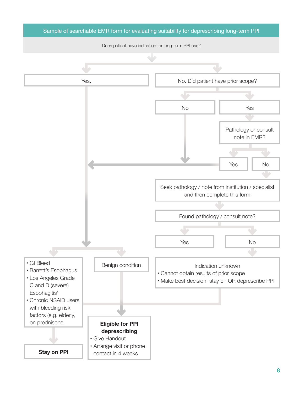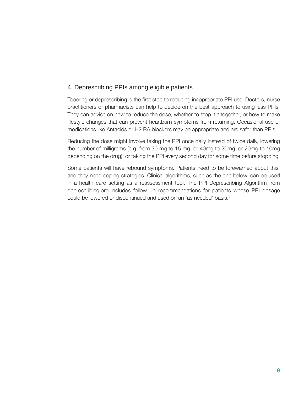#### 4. Deprescribing PPIs among eligible patients

Tapering or deprescribing is the first step to reducing inappropriate PPI use. Doctors, nurse practitioners or pharmacists can help to decide on the best approach to using less PPIs. They can advise on how to reduce the dose, whether to stop it altogether, or how to make lifestyle changes that can prevent heartburn symptoms from returning. Occasional use of medications like Antacids or H2 RA blockers may be appropriate and are safer than PPIs.

Reducing the dose might involve taking the PPI once daily instead of twice daily, lowering the number of milligrams (e.g. from 30 mg to 15 mg, or 40mg to 20mg, or 20mg to 10mg depending on the drug), or taking the PPI every second day for some time before stopping.

Some patients will have rebound symptoms. Patients need to be forewarned about this, and they need coping strategies. Clinical algorithms, such as the one below, can be used in a health care setting as a reassessment tool. The PPI Deprescribing Algorithm from deprescribing.org includes follow up recommendations for patients whose PPI dosage could be lowered or discontinued and used on an 'as needed' basis.4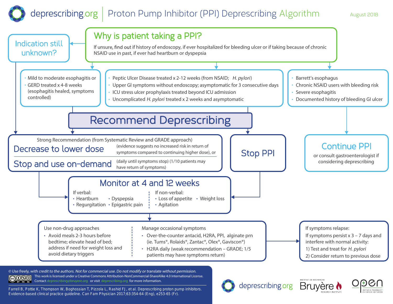#### deprescribing.org Proton Pump Inhibitor (PPI) Deprescribing Algorithm August 2018



**© Use freely, with credit to the authors. Not for commercial use. Do not modify or translate without permission.**  $\overline{6000}$ This work is licensed under a Creative Commons Attribution-NonCommercial-ShareAlike 4.0 International License. prescribing@bruyere.org or visit deprescribing.org for more information.

Farrell B, Pottie K, Thompson W, Boghossian T, Pizzola L, Rashid FJ, et al. Deprescribing proton pump inhibitors. Evidence-based clinical practice guideline. *Can Fam Physician* 2017;63:354-64 (Eng), e253-65 (Fr).

deprescribing.org



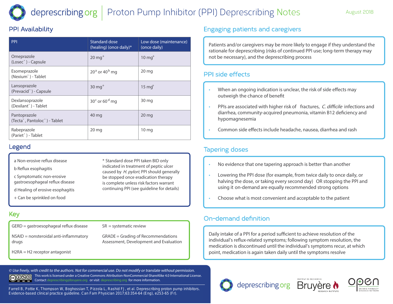#### deprescribing.org Proton Pump Inhibitor (PPI) Deprescribing Notes

### PPI Availability

| <b>Standard dose</b><br>(healing) (once daily)* | Low dose (maintenance)<br>(once daily) | Patients and/or caregivers may b<br>rationale for deprescribing (risks<br>not be necessary), and the depre                                                 |
|-------------------------------------------------|----------------------------------------|------------------------------------------------------------------------------------------------------------------------------------------------------------|
| $20 \text{ mg}^+$                               | $10 \text{ mg}^+$                      |                                                                                                                                                            |
| $20a$ or 40 <sup>b</sup> mg                     | $20 \,\mathrm{mg}$                     | PPI side effects                                                                                                                                           |
| $30 \text{ mg}^+$                               | $15 \text{ mg}^+$                      | When an ongoing indication<br>٠<br>outweigh the chance of ber<br>PPIs are associated with hig<br>$\bullet$<br>diarrhea, community-acquir<br>hypomagnesemia |
| $30c$ or 60 <sup>d</sup> mg                     | 30 <sub>mg</sub>                       |                                                                                                                                                            |
| 40 mg                                           | $20 \,\mathrm{mg}$                     |                                                                                                                                                            |
| 20 <sub>mg</sub>                                | 10 <sub>mg</sub>                       | Common side effects includ                                                                                                                                 |
|                                                 |                                        |                                                                                                                                                            |

### Legend

- a Non-erosive reflux disease **the set of the set of the set of the set of the set of the set of the set of the**<br>And use of the set of the set of the set of the set of the set of the set of the set of the set of the set of
- **b** Reflux esophagitis
- **c** Symptomatic non-erosive
- gastroesophageal reflux disease
- **d** Healing of erosive esophagitis **If verbal:**
- **+** Can be sprinkled on food

### Key

- **GERD** = gastroesophageal reflux disease
- NSAID = nonsteroidal anti-inflammatory GRADE = Grading of I drugs
- H2RA = H2 receptor antagonist

\* Standard dose PPI taken BID only **the stop of the stop** indicated in treatment of peptic ulcer caused by H. pylori; PPI should generally be stopped once eradication therapy **Example 2** and 2 and 12 weeks risk factors warrant continuing PPI (see guideline for details) **If non-verbal:**

Loss of appetite

Agitation

•

**SR** = systematic review **Use of the Second approximate** SR = systematic review **intervalsed by the construction of the systematic relations relationships relations of the construction of the construction of the construction of the construction of Manage occasional symptoms**

•

Epigastric pain

**GRADE** = Grading of Recommendations assessment, Development and Evaluation **the control of the Second Assessment**, Development and Evaluation

**© Use freely, with credit to the authors. Not for commercial use. Do not modify or translate without permission.** This work is licensed under a Creative Commons Attribution-NonCommercial-ShareAlike 4.0 International License. ெை Contact deprescribing@bruyere.org or visit deprescribing.org for more information. BY NO SA

Regurgitation

•

Farrell B, Pottie K, Thompson W, Boghossian T, Pizzola L, Rashid FJ, et al. Deprescribing proton pump inhibitors. Evidence-based clinical practice guideline. *Can Fam Physician* 2017;63:354-64 (Eng), e253-65 (Fr).

### Engaging patients and caregivers

lealing) (once daily)\* cow dose (maintenance) and a patients and/or caregivers may be more likely to engage if they understand the rationale for deprescribing (risks of continued PPI use; long-term therapy may not be necessary), and the deprescribing process

#### **PPI side effects**

- When an ongoing indication is unclear, the risk of side effects may outweigh the chance of benefit Chronic NSAID users with bleeding risk
- PPIs are associated with higher risk of fractures, C. difficile infections and diarrhea, community-acquired pneumonia, vitamin B12 deficiency and hypomagnesemia

•

Common side effects include headache, nausea, diarrhea and rash

#### Tapering doses (evidence suggests no increased risk in return of symptoms compared to continuing higher dose), or Stop Period Contract of the Contract of Tapering doses and the Contract of Tapering doses and the Contract of Tapering doses and the Contract of Tapering doses and the Contract of Tapering doses and the Contract of Taperin

- No evidence that one tapering approach is better than another
- Lowering the PPI dose (for example, from twice daily to once daily, or halving the dose, or taking every second day) OR stopping the PPI and using it on-demand are equally recommended strong options
- $\cdot$  Choose what is most convenient and acceptable to the patient

### On-demand definition

Daily intake of a PPI for a period sufficient to achieve resolution of the If symptoms persist x 3 – 7 days and Over-the-counter antacid, H2RA, PPI, alginate prn individual's reflux-related symptoms; following symptom resolution, the nedication is discontinued until the individual's symptoms recur, at which<br>
H2RA daily medication is discontinued until the individual's symptoms recur, at which point, medication is again taken daily until the symptoms resolve patients may have symptoms returns in the symptoms of  $\mathbb{R}^n$ 







or consult gastroenterologist if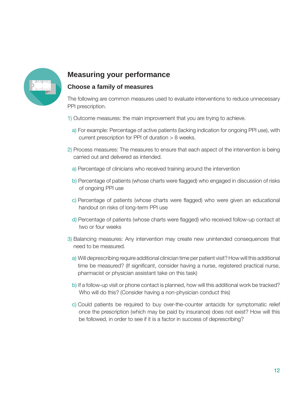

### **Measuring your performance**

#### **Choose a family of measures**

The following are common measures used to evaluate interventions to reduce unnecessary PPI prescription.

- 1) Outcome measures: the main improvement that you are trying to achieve.
	- a) For example: Percentage of active patients (lacking indication for ongoing PPI use), with current prescription for PPI of duration > 8 weeks.
- 2) Process measures: The measures to ensure that each aspect of the intervention is being carried out and delivered as intended.
	- a) Percentage of clinicians who received training around the intervention
	- b) Percentage of patients (whose charts were flagged) who engaged in discussion of risks of ongoing PPI use
	- c) Percentage of patients (whose charts were flagged) who were given an educational handout on risks of long-term PPI use
	- d) Percentage of patients (whose charts were flagged) who received follow-up contact at two or four weeks
- 3) Balancing measures: Any intervention may create new unintended consequences that need to be measured.
	- a) Will deprescribing require additional clinician time per patient visit? How will this additional time be measured? (If significant, consider having a nurse, registered practical nurse, pharmacist or physician assistant take on this task)
	- b) If a follow-up visit or phone contact is planned, how will this additional work be tracked? Who will do this? (Consider having a non-physician conduct this)
	- c) Could patients be required to buy over-the-counter antacids for symptomatic relief once the prescription (which may be paid by insurance) does not exist? How will this be followed, in order to see if it is a factor in success of deprescribing?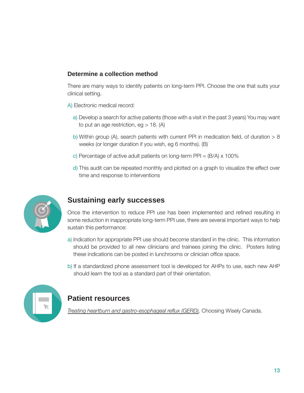#### **Determine a collection method**

There are many ways to identify patients on long-term PPI. Choose the one that suits your clinical setting.

- A) Electronic medical record:
	- a) Develop a search for active patients (those with a visit in the past 3 years) You may want to put an age restriction, eg  $> 18$ . (A)
	- b) Within group (A), search patients with current PPI in medication field, of duration  $> 8$ weeks (or longer duration if you wish, eg 6 months). (B)
	- c) Percentage of active adult patients on long-term PPI =  $(B/A) \times 100\%$
	- d) This audit can be repeated monthly and plotted on a graph to visualize the effect over time and response to interventions



### **Sustaining early successes**

Once the intervention to reduce PPI use has been implemented and refined resulting in some reduction in inappropriate long-term PPI use, there are several important ways to help sustain this performance:

- a) Indication for appropriate PPI use should become standard in the clinic. This information should be provided to all new clinicians and trainees joining the clinic. Posters listing these indications can be posted in lunchrooms or clinician office space.
- b) If a standardized phone assessment tool is developed for AHPs to use, each new AHP should learn the tool as a standard part of their orientation.



### **Patient resources**

*[Treating heartburn and gastro-esophageal reflux \(GERD\)](https://choosingwiselycanada.org/heartburn-gerd-ppi/),* Choosing Wisely Canada.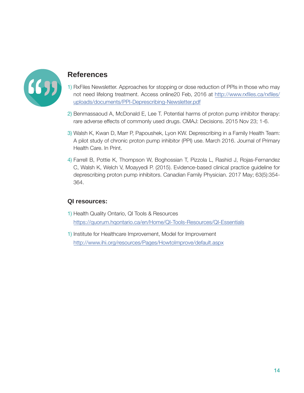

#### **References**

- 1) RxFiles Newsletter. Approaches for stopping or dose reduction of PPIs in those who may not need lifelong treatment. Access online20 Feb, 2016 at [http://www.rxfiles.ca/rxfiles/](http://www.rxfiles.ca/rxfiles/uploads/documents/PPI-Deprescribing-Newsletter.pdf) [uploads/documents/PPI-Deprescribing-Newsletter.pdf](http://www.rxfiles.ca/rxfiles/uploads/documents/PPI-Deprescribing-Newsletter.pdf)
- 2) Benmassaoud A, McDonald E, Lee T. Potential harms of proton pump inhibitor therapy: rare adverse effects of commonly used drugs. CMAJ: Decisions. 2015 Nov 23; 1-6.
- 3) Walsh K, Kwan D, Marr P, Papoushek, Lyon KW. Deprescribing in a Family Health Team: A pilot study of chronic proton pump inhibitor (PPI) use. March 2016. Journal of Primary Health Care. In Print.
- 4) Farrell B, Pottie K, Thompson W, Boghossian T, Pizzola L, Rashid J, Rojas-Fernandez C, Walsh K, Welch V, Moayyedi P. (2015). Evidence-based clinical practice guideline for deprescribing proton pump inhibitors. Canadian Family Physician. 2017 May; 63(5):354- 364.

#### **QI resources:**

- 1) Health Quality Ontario, QI Tools & Resources <https://quorum.hqontario.ca/en/Home/QI-Tools-Resources/QI-Essentials>
- 1) Institute for Healthcare Improvement, Model for Improvement <http://www.ihi.org/resources/Pages/HowtoImprove/default.aspx>